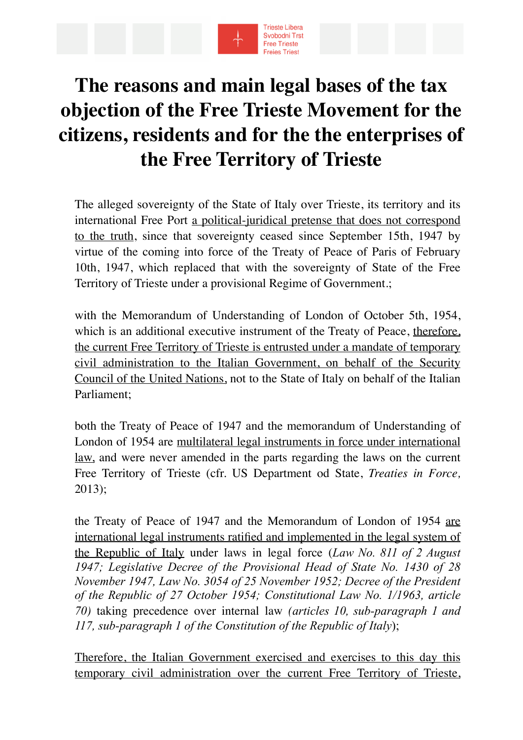

## **The reasons and main legal bases of the tax objection of the Free Trieste Movement for the citizens, residents and for the the enterprises of the Free Territory of Trieste**

The alleged sovereignty of the State of Italy over Trieste, its territory and its international Free Port a political-juridical pretense that does not correspond to the truth, since that sovereignty ceased since September 15th, 1947 by virtue of the coming into force of the Treaty of Peace of Paris of February 10th, 1947, which replaced that with the sovereignty of State of the Free Territory of Trieste under a provisional Regime of Government.;

with the Memorandum of Understanding of London of October 5th, 1954, which is an additional executive instrument of the Treaty of Peace, therefore, the current Free Territory of Trieste is entrusted under a mandate of temporary civil administration to the Italian Government, on behalf of the Security Council of the United Nations, not to the State of Italy on behalf of the Italian Parliament;

both the Treaty of Peace of 1947 and the memorandum of Understanding of London of 1954 are multilateral legal instruments in force under international law, and were never amended in the parts regarding the laws on the current Free Territory of Trieste (cfr. US Department od State, *Treaties in Force,*  2013);

the Treaty of Peace of 1947 and the Memorandum of London of 1954 are international legal instruments ratified and implemented in the legal system of the Republic of Italy under laws in legal force (*Law No. 811 of 2 August 1947; Legislative Decree of the Provisional Head of State No. 1430 of 28 November 1947, Law No. 3054 of 25 November 1952; Decree of the President of the Republic of 27 October 1954; Constitutional Law No. 1/1963, article 70)* taking precedence over internal law *(articles 10, sub-paragraph 1 and 117, sub-paragraph 1 of the Constitution of the Republic of Italy*);

Therefore, the Italian Government exercised and exercises to this day this temporary civil administration over the current Free Territory of Trieste,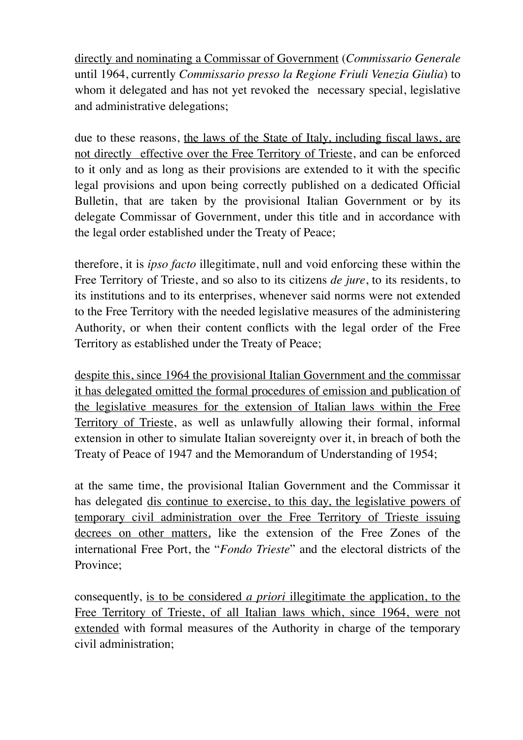directly and nominating a Commissar of Government (*Commissario Generale* until 1964, currently *Commissario presso la Regione Friuli Venezia Giulia*) to whom it delegated and has not yet revoked the necessary special, legislative and administrative delegations;

due to these reasons, the laws of the State of Italy, including fiscal laws, are not directly effective over the Free Territory of Trieste, and can be enforced to it only and as long as their provisions are extended to it with the specific legal provisions and upon being correctly published on a dedicated Official Bulletin, that are taken by the provisional Italian Government or by its delegate Commissar of Government, under this title and in accordance with the legal order established under the Treaty of Peace;

therefore, it is *ipso facto* illegitimate, null and void enforcing these within the Free Territory of Trieste, and so also to its citizens *de jure*, to its residents, to its institutions and to its enterprises, whenever said norms were not extended to the Free Territory with the needed legislative measures of the administering Authority, or when their content conflicts with the legal order of the Free Territory as established under the Treaty of Peace;

despite this, since 1964 the provisional Italian Government and the commissar it has delegated omitted the formal procedures of emission and publication of the legislative measures for the extension of Italian laws within the Free Territory of Trieste, as well as unlawfully allowing their formal, informal extension in other to simulate Italian sovereignty over it, in breach of both the Treaty of Peace of 1947 and the Memorandum of Understanding of 1954;

at the same time, the provisional Italian Government and the Commissar it has delegated dis continue to exercise, to this day, the legislative powers of temporary civil administration over the Free Territory of Trieste issuing decrees on other matters, like the extension of the Free Zones of the international Free Port, the "*Fondo Trieste*" and the electoral districts of the Province;

consequently, is to be considered *a priori* illegitimate the application, to the Free Territory of Trieste, of all Italian laws which, since 1964, were not extended with formal measures of the Authority in charge of the temporary civil administration;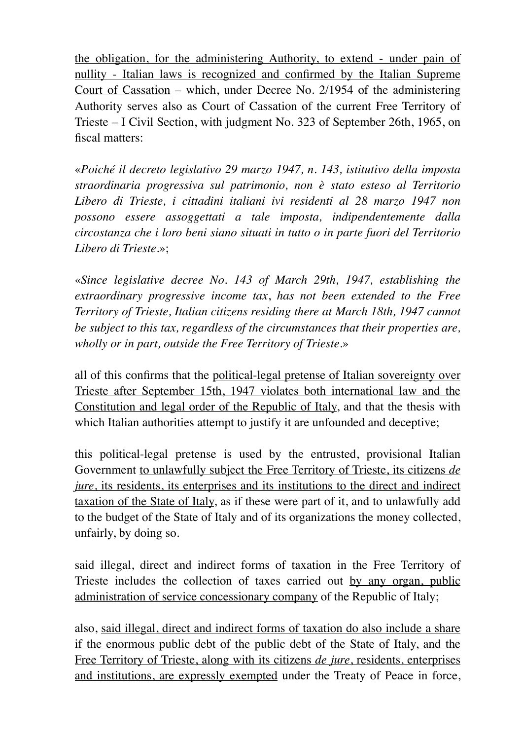the obligation, for the administering Authority, to extend - under pain of nullity - Italian laws is recognized and confirmed by the Italian Supreme Court of Cassation – which, under Decree No. 2/1954 of the administering Authority serves also as Court of Cassation of the current Free Territory of Trieste – I Civil Section, with judgment No. 323 of September 26th, 1965, on fiscal matters:

«*Poiché il decreto legislativo 29 marzo 1947, n. 143, istitutivo della imposta straordinaria progressiva sul patrimonio, non è stato esteso al Territorio Libero di Trieste, i cittadini italiani ivi residenti al 28 marzo 1947 non possono essere assoggettati a tale imposta, indipendentemente dalla circostanza che i loro beni siano situati in tutto o in parte fuori del Territorio Libero di Trieste.*»;

«*Since legislative decree No. 143 of March 29th, 1947, establishing the extraordinary progressive income tax*, *has not been extended to the Free Territory of Trieste, Italian citizens residing there at March 18th, 1947 cannot be subject to this tax, regardless of the circumstances that their properties are, wholly or in part, outside the Free Territory of Trieste.*»

all of this confirms that the political-legal pretense of Italian sovereignty over Trieste after September 15th, 1947 violates both international law and the Constitution and legal order of the Republic of Italy, and that the thesis with which Italian authorities attempt to justify it are unfounded and deceptive;

this political-legal pretense is used by the entrusted, provisional Italian Government to unlawfully subject the Free Territory of Trieste, its citizens *de jure*, its residents, its enterprises and its institutions to the direct and indirect taxation of the State of Italy, as if these were part of it, and to unlawfully add to the budget of the State of Italy and of its organizations the money collected, unfairly, by doing so.

said illegal, direct and indirect forms of taxation in the Free Territory of Trieste includes the collection of taxes carried out by any organ, public administration of service concessionary company of the Republic of Italy;

also, said illegal, direct and indirect forms of taxation do also include a share if the enormous public debt of the public debt of the State of Italy, and the Free Territory of Trieste, along with its citizens *de jure*, residents, enterprises and institutions, are expressly exempted under the Treaty of Peace in force,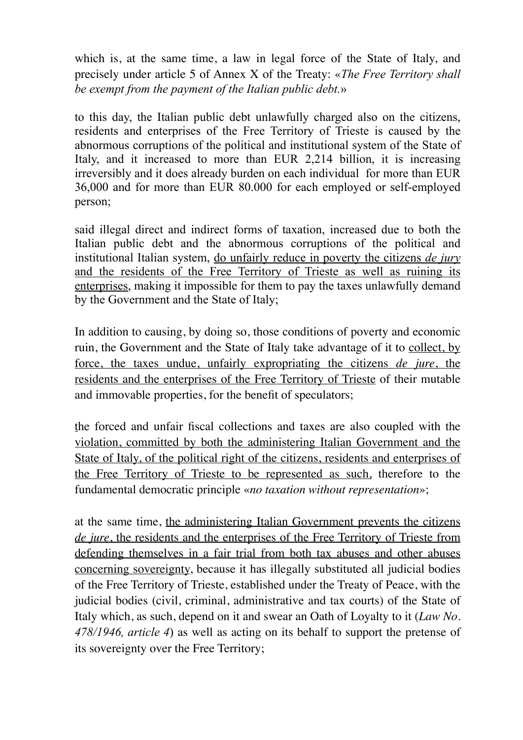which is, at the same time, a law in legal force of the State of Italy, and precisely under article 5 of Annex X of the Treaty: «*The Free Territory shall be exempt from the payment of the Italian public debt.*»

to this day, the Italian public debt unlawfully charged also on the citizens, residents and enterprises of the Free Territory of Trieste is caused by the abnormous corruptions of the political and institutional system of the State of Italy, and it increased to more than EUR 2,214 billion, it is increasing irreversibly and it does already burden on each individual for more than EUR 36,000 and for more than EUR 80.000 for each employed or self-employed person;

said illegal direct and indirect forms of taxation, increased due to both the Italian public debt and the abnormous corruptions of the political and institutional Italian system, do unfairly reduce in poverty the citizens *de jury* and the residents of the Free Territory of Trieste as well as ruining its enterprises, making it impossible for them to pay the taxes unlawfully demand by the Government and the State of Italy;

In addition to causing, by doing so, those conditions of poverty and economic ruin, the Government and the State of Italy take advantage of it to collect, by force, the taxes undue, unfairly expropriating the citizens *de jure*, the residents and the enterprises of the Free Territory of Trieste of their mutable and immovable properties, for the benefit of speculators;

the forced and unfair fiscal collections and taxes are also coupled with the violation, committed by both the administering Italian Government and the State of Italy, of the political right of the citizens, residents and enterprises of the Free Territory of Trieste to be represented as such, therefore to the fundamental democratic principle «*no taxation without representation*»;

at the same time, the administering Italian Government prevents the citizens *de jure*, the residents and the enterprises of the Free Territory of Trieste from defending themselves in a fair trial from both tax abuses and other abuses concerning sovereignty, because it has illegally substituted all judicial bodies of the Free Territory of Trieste, established under the Treaty of Peace, with the judicial bodies (civil, criminal, administrative and tax courts) of the State of Italy which, as such, depend on it and swear an Oath of Loyalty to it (*Law No. 478/1946, article 4*) as well as acting on its behalf to support the pretense of its sovereignty over the Free Territory;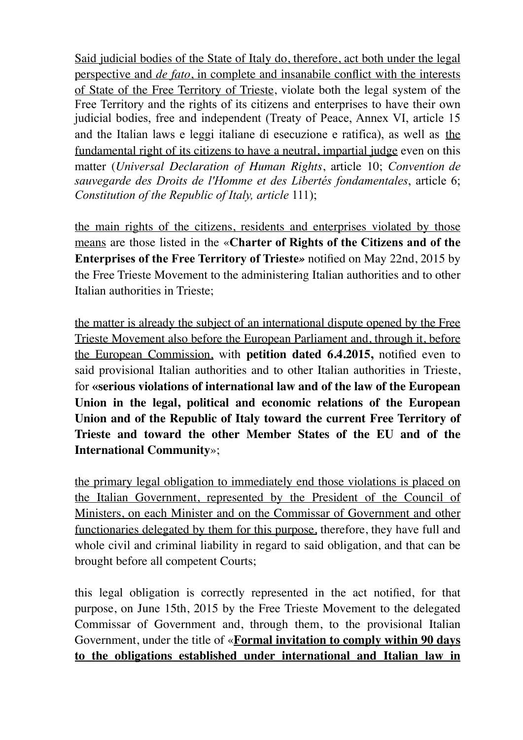Said judicial bodies of the State of Italy do, therefore, act both under the legal perspective and *de fato*, in complete and insanabile conflict with the interests of State of the Free Territory of Trieste, violate both the legal system of the Free Territory and the rights of its citizens and enterprises to have their own judicial bodies, free and independent (Treaty of Peace, Annex VI, article 15 and the Italian laws e leggi italiane di esecuzione e ratifica), as well as the fundamental right of its citizens to have a neutral, impartial judge even on this matter (*Universal Declaration of Human Rights*, article 10; *Convention de sauvegarde des Droits de l'Homme et des Libertés fondamentales*, article 6; *Constitution of the Republic of Italy, article* 111);

the main rights of the citizens, residents and enterprises violated by those means are those listed in the «**Charter of Rights of the Citizens and of the Enterprises of the Free Territory of Trieste***»* notified on May 22nd, 2015 by the Free Trieste Movement to the administering Italian authorities and to other Italian authorities in Trieste;

the matter is already the subject of an international dispute opened by the Free Trieste Movement also before the European Parliament and, through it, before the European Commission, with **petition dated 6.4.2015,** notified even to said provisional Italian authorities and to other Italian authorities in Trieste, for **«serious violations of international law and of the law of the European Union in the legal, political and economic relations of the European Union and of the Republic of Italy toward the current Free Territory of Trieste and toward the other Member States of the EU and of the International Community**»;

the primary legal obligation to immediately end those violations is placed on the Italian Government, represented by the President of the Council of Ministers, on each Minister and on the Commissar of Government and other functionaries delegated by them for this purpose, therefore, they have full and whole civil and criminal liability in regard to said obligation, and that can be brought before all competent Courts;

this legal obligation is correctly represented in the act notified, for that purpose, on June 15th, 2015 by the Free Trieste Movement to the delegated Commissar of Government and, through them, to the provisional Italian Government, under the title of «**Formal invitation to comply within 90 days to the obligations established under international and Italian law in**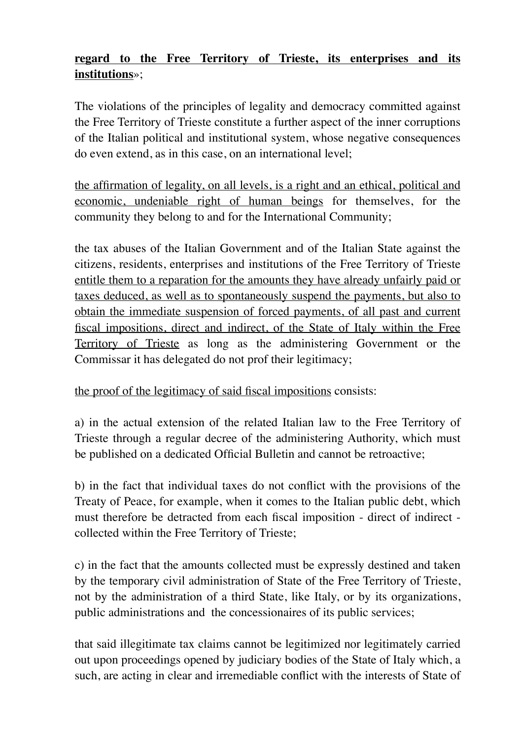## **regard to the Free Territory of Trieste, its enterprises and its institutions**»;

The violations of the principles of legality and democracy committed against the Free Territory of Trieste constitute a further aspect of the inner corruptions of the Italian political and institutional system, whose negative consequences do even extend, as in this case, on an international level;

the affirmation of legality, on all levels, is a right and an ethical, political and economic, undeniable right of human beings for themselves, for the community they belong to and for the International Community;

the tax abuses of the Italian Government and of the Italian State against the citizens, residents, enterprises and institutions of the Free Territory of Trieste entitle them to a reparation for the amounts they have already unfairly paid or taxes deduced, as well as to spontaneously suspend the payments, but also to obtain the immediate suspension of forced payments, of all past and current fiscal impositions, direct and indirect, of the State of Italy within the Free Territory of Trieste as long as the administering Government or the Commissar it has delegated do not prof their legitimacy;

## the proof of the legitimacy of said fiscal impositions consists:

a) in the actual extension of the related Italian law to the Free Territory of Trieste through a regular decree of the administering Authority, which must be published on a dedicated Official Bulletin and cannot be retroactive;

b) in the fact that individual taxes do not conflict with the provisions of the Treaty of Peace, for example, when it comes to the Italian public debt, which must therefore be detracted from each fiscal imposition - direct of indirect collected within the Free Territory of Trieste;

c) in the fact that the amounts collected must be expressly destined and taken by the temporary civil administration of State of the Free Territory of Trieste, not by the administration of a third State, like Italy, or by its organizations, public administrations and the concessionaires of its public services;

that said illegitimate tax claims cannot be legitimized nor legitimately carried out upon proceedings opened by judiciary bodies of the State of Italy which, a such, are acting in clear and irremediable conflict with the interests of State of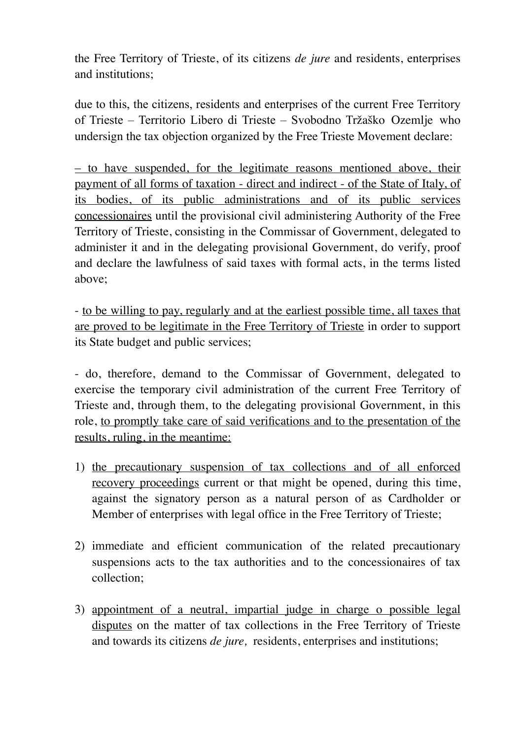the Free Territory of Trieste, of its citizens *de jure* and residents, enterprises and institutions;

due to this, the citizens, residents and enterprises of the current Free Territory of Trieste – Territorio Libero di Trieste – Svobodno Tržaško Ozemlje who undersign the tax objection organized by the Free Trieste Movement declare:

– to have suspended, for the legitimate reasons mentioned above, their payment of all forms of taxation - direct and indirect - of the State of Italy, of its bodies, of its public administrations and of its public services concessionaires until the provisional civil administering Authority of the Free Territory of Trieste, consisting in the Commissar of Government, delegated to administer it and in the delegating provisional Government, do verify, proof and declare the lawfulness of said taxes with formal acts, in the terms listed above;

- to be willing to pay, regularly and at the earliest possible time, all taxes that are proved to be legitimate in the Free Territory of Trieste in order to support its State budget and public services;

- do, therefore, demand to the Commissar of Government, delegated to exercise the temporary civil administration of the current Free Territory of Trieste and, through them, to the delegating provisional Government, in this role, to promptly take care of said verifications and to the presentation of the results, ruling, in the meantime:

- 1) the precautionary suspension of tax collections and of all enforced recovery proceedings current or that might be opened, during this time, against the signatory person as a natural person of as Cardholder or Member of enterprises with legal office in the Free Territory of Trieste;
- 2) immediate and efficient communication of the related precautionary suspensions acts to the tax authorities and to the concessionaires of tax collection;
- 3) appointment of a neutral, impartial judge in charge o possible legal disputes on the matter of tax collections in the Free Territory of Trieste and towards its citizens *de jure,* residents, enterprises and institutions;